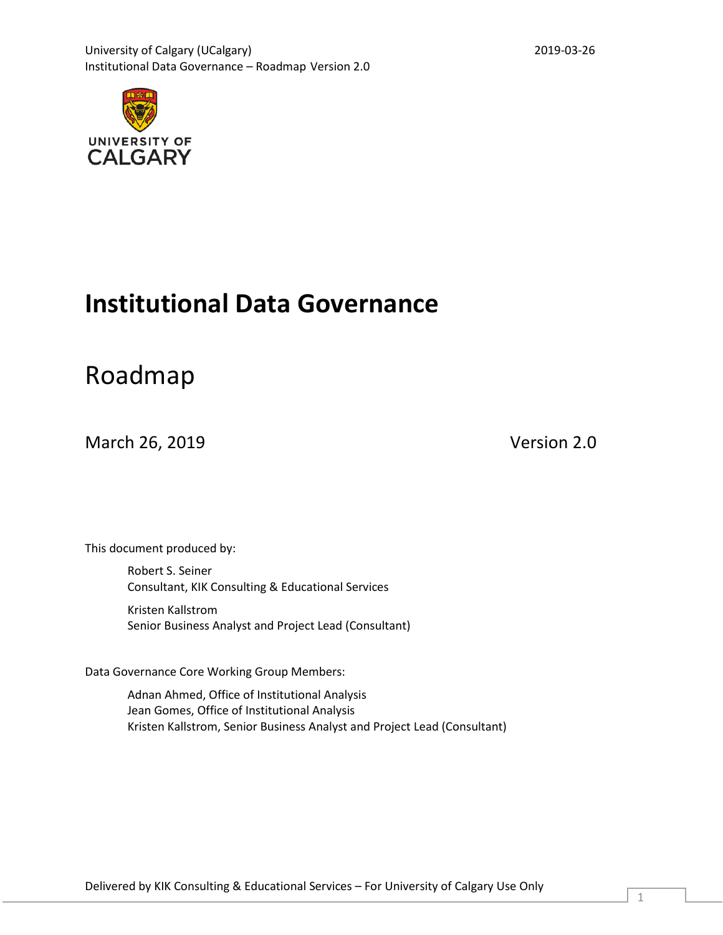

# **Institutional Data Governance**

# Roadmap

March 26, 2019 Version 2.0

This document produced by:

Robert S. Seiner Consultant, KIK Consulting & Educational Services

Kristen Kallstrom Senior Business Analyst and Project Lead (Consultant)

Data Governance Core Working Group Members:

Adnan Ahmed, Office of Institutional Analysis Jean Gomes, Office of Institutional Analysis Kristen Kallstrom, Senior Business Analyst and Project Lead (Consultant)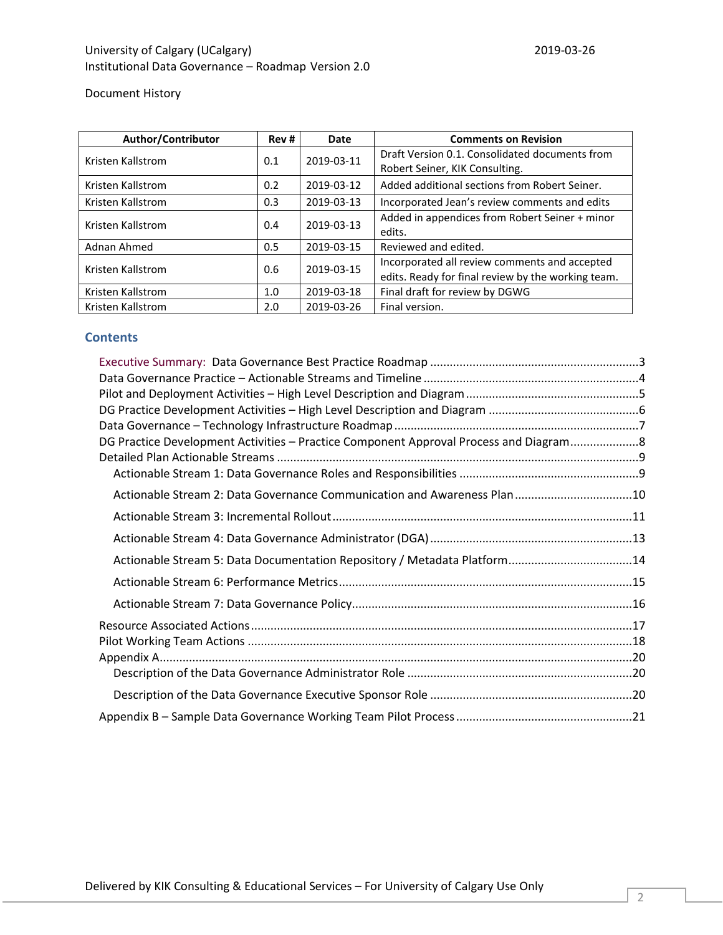Document History

| Author/Contributor | Rev# | <b>Date</b> | <b>Comments on Revision</b>                        |  |  |  |  |  |
|--------------------|------|-------------|----------------------------------------------------|--|--|--|--|--|
| Kristen Kallstrom  | 0.1  | 2019-03-11  | Draft Version 0.1. Consolidated documents from     |  |  |  |  |  |
|                    |      |             | Robert Seiner, KIK Consulting.                     |  |  |  |  |  |
| Kristen Kallstrom  | 0.2  | 2019-03-12  | Added additional sections from Robert Seiner.      |  |  |  |  |  |
| Kristen Kallstrom  | 0.3  | 2019-03-13  | Incorporated Jean's review comments and edits      |  |  |  |  |  |
| Kristen Kallstrom  | 0.4  | 2019-03-13  | Added in appendices from Robert Seiner + minor     |  |  |  |  |  |
|                    |      |             | edits.                                             |  |  |  |  |  |
| Adnan Ahmed        | 0.5  | 2019-03-15  | Reviewed and edited.                               |  |  |  |  |  |
| Kristen Kallstrom  | 0.6  | 2019-03-15  | Incorporated all review comments and accepted      |  |  |  |  |  |
|                    |      |             | edits. Ready for final review by the working team. |  |  |  |  |  |
| Kristen Kallstrom  | 1.0  | 2019-03-18  | Final draft for review by DGWG                     |  |  |  |  |  |
| Kristen Kallstrom  | 2.0  | 2019-03-26  | Final version.                                     |  |  |  |  |  |

# **Contents**

| DG Practice Development Activities - Practice Component Approval Process and Diagram |  |
|--------------------------------------------------------------------------------------|--|
|                                                                                      |  |
|                                                                                      |  |
| Actionable Stream 2: Data Governance Communication and Awareness Plan 10             |  |
|                                                                                      |  |
|                                                                                      |  |
| Actionable Stream 5: Data Documentation Repository / Metadata Platform14             |  |
|                                                                                      |  |
|                                                                                      |  |
|                                                                                      |  |
|                                                                                      |  |
|                                                                                      |  |
|                                                                                      |  |
|                                                                                      |  |
|                                                                                      |  |
|                                                                                      |  |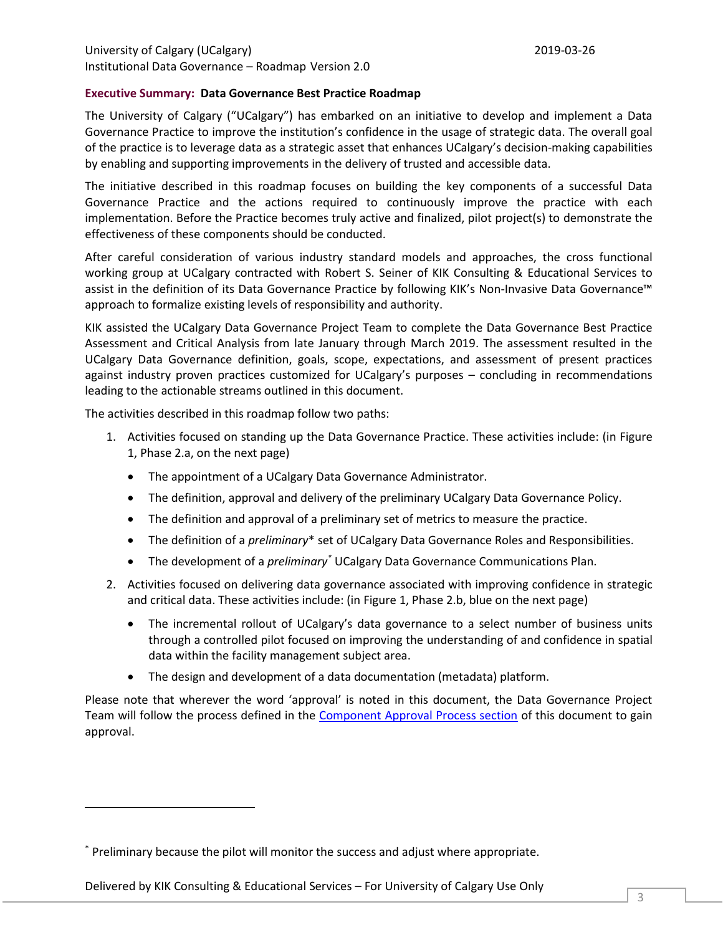## **Executive Summary: Data Governance Best Practice Roadmap**

The University of Calgary ("UCalgary") has embarked on an initiative to develop and implement a Data Governance Practice to improve the institution's confidence in the usage of strategic data. The overall goal of the practice is to leverage data as a strategic asset that enhances UCalgary's decision-making capabilities by enabling and supporting improvements in the delivery of trusted and accessible data.

The initiative described in this roadmap focuses on building the key components of a successful Data Governance Practice and the actions required to continuously improve the practice with each implementation. Before the Practice becomes truly active and finalized, pilot project(s) to demonstrate the effectiveness of these components should be conducted.

After careful consideration of various industry standard models and approaches, the cross functional working group at UCalgary contracted with Robert S. Seiner of KIK Consulting & Educational Services to assist in the definition of its Data Governance Practice by following KIK's Non-Invasive Data Governance™ approach to formalize existing levels of responsibility and authority.

KIK assisted the UCalgary Data Governance Project Team to complete the Data Governance Best Practice Assessment and Critical Analysis from late January through March 2019. The assessment resulted in the UCalgary Data Governance definition, goals, scope, expectations, and assessment of present practices against industry proven practices customized for UCalgary's purposes – concluding in recommendations leading to the actionable streams outlined in this document.

The activities described in this roadmap follow two paths:

- 1. Activities focused on standing up the Data Governance Practice. These activities include: (in Figure 1, Phase 2.a, on the next page)
	- The appointment of a UCalgary Data Governance Administrator.
	- The definition, approval and delivery of the preliminary UCalgary Data Governance Policy.
	- The definition and approval of a preliminary set of metrics to measure the practice.
	- The definition of a *preliminary*\* set of UCalgary Data Governance Roles and Responsibilities.
	- The development of a *preliminary\** UCalgary Data Governance Communications Plan.
- 2. Activities focused on delivering data governance associated with improving confidence in strategic and critical data. These activities include: (in Figure 1, Phase 2.b, blue on the next page)
	- The incremental rollout of UCalgary's data governance to a select number of business units through a controlled pilot focused on improving the understanding of and confidence in spatial data within the facility management subject area.
	- The design and development of a data documentation (metadata) platform.

Please note that wherever the word 'approval' is noted in this document, the Data Governance Project Team will follow the process defined in the Component Approval Process section of this document to gain approval.

<sup>\*</sup> Preliminary because the pilot will monitor the success and adjust where appropriate.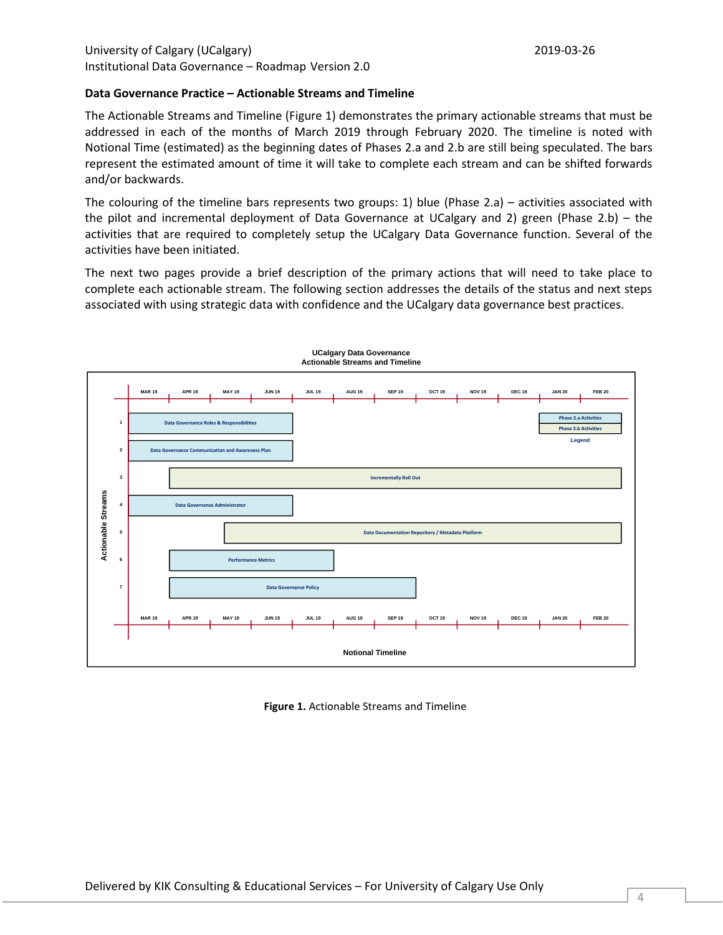### **Data Governance Practice – Actionable Streams and Timeline**

The Actionable Streams and Timeline (Figure 1) demonstrates the primary actionable streams that must be addressed in each of the months of March 2019 through February 2020. The timeline is noted with Notional Time (estimated) as the beginning dates of Phases 2.a and 2.b are still being speculated. The bars represent the estimated amount of time it will take to complete each stream and can be shifted forwards and/or backwards.

The colouring of the timeline bars represents two groups: 1) blue (Phase 2.a) – activities associated with the pilot and incremental deployment of Data Governance at UCalgary and 2) green (Phase 2.b) – the activities that are required to completely setup the UCalgary Data Governance function. Several of the activities have been initiated.

The next two pages provide a brief description of the primary actions that will need to take place to complete each actionable stream. The following section addresses the details of the status and next steps associated with using strategic data with confidence and the UCalgary data governance best practices.



**UCalgary Data Governance Actionable Streams and Timeline**

**Figure 1.** Actionable Streams and Timeline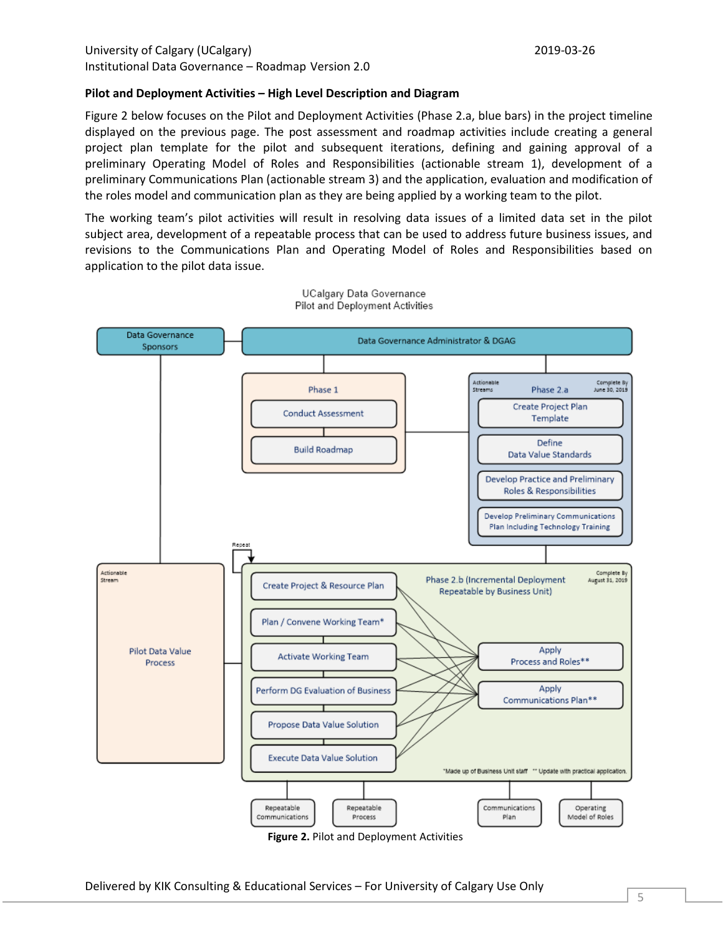## **Pilot and Deployment Activities – High Level Description and Diagram**

Figure 2 below focuses on the Pilot and Deployment Activities (Phase 2.a, blue bars) in the project timeline displayed on the previous page. The post assessment and roadmap activities include creating a general project plan template for the pilot and subsequent iterations, defining and gaining approval of a preliminary Operating Model of Roles and Responsibilities (actionable stream 1), development of a preliminary Communications Plan (actionable stream 3) and the application, evaluation and modification of the roles model and communication plan as they are being applied by a working team to the pilot.

The working team's pilot activities will result in resolving data issues of a limited data set in the pilot subject area, development of a repeatable process that can be used to address future business issues, and revisions to the Communications Plan and Operating Model of Roles and Responsibilities based on application to the pilot data issue.



UCalgary Data Governance Pilot and Deployment Activities

**Figure 2.** Pilot and Deployment Activities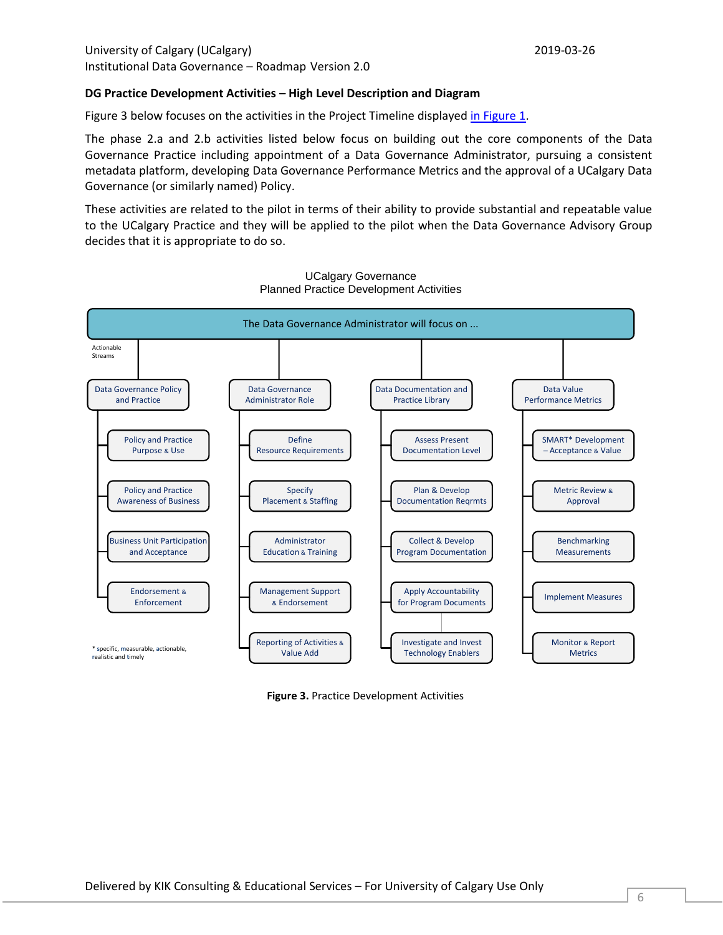## **DG Practice Development Activities – High Level Description and Diagram**

Figure 3 below focuses on the activities in the Project Timeline displayed in Figure 1.

The phase 2.a and 2.b activities listed below focus on building out the core components of the Data Governance Practice including appointment of a Data Governance Administrator, pursuing a consistent metadata platform, developing Data Governance Performance Metrics and the approval of a UCalgary Data Governance (or similarly named) Policy.

These activities are related to the pilot in terms of their ability to provide substantial and repeatable value to the UCalgary Practice and they will be applied to the pilot when the Data Governance Advisory Group decides that it is appropriate to do so.



UCalgary Governance Planned Practice Development Activities

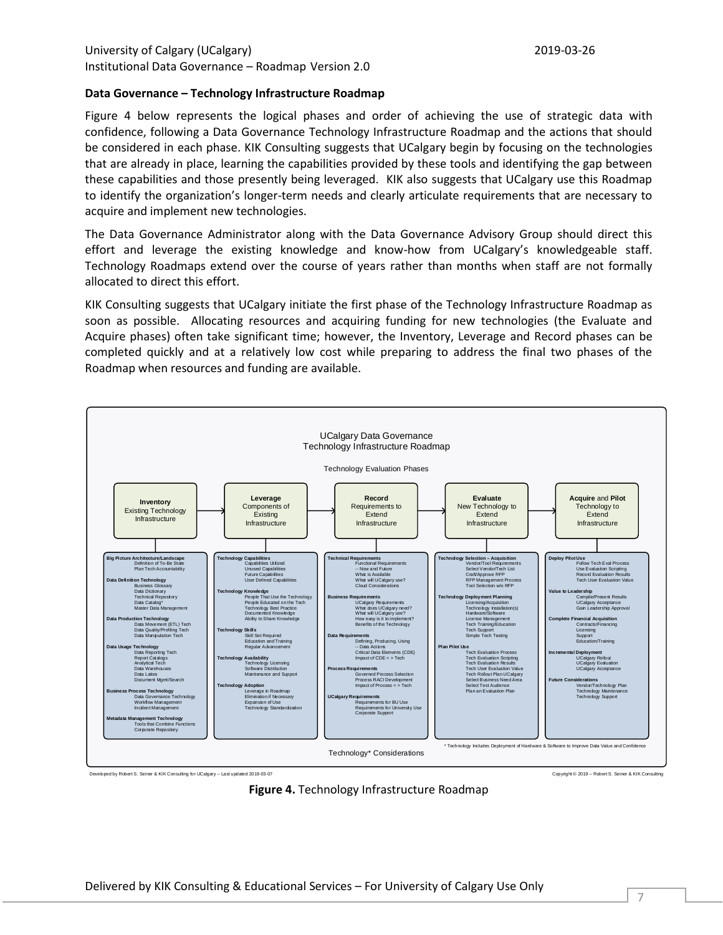## **Data Governance – Technology Infrastructure Roadmap**

Figure 4 below represents the logical phases and order of achieving the use of strategic data with confidence, following a Data Governance Technology Infrastructure Roadmap and the actions that should be considered in each phase. KIK Consulting suggests that UCalgary begin by focusing on the technologies that are already in place, learning the capabilities provided by these tools and identifying the gap between these capabilities and those presently being leveraged. KIK also suggests that UCalgary use this Roadmap to identify the organization's longer-term needs and clearly articulate requirements that are necessary to acquire and implement new technologies.

The Data Governance Administrator along with the Data Governance Advisory Group should direct this effort and leverage the existing knowledge and know-how from UCalgary's knowledgeable staff. Technology Roadmaps extend over the course of years rather than months when staff are not formally allocated to direct this effort.

KIK Consulting suggests that UCalgary initiate the first phase of the Technology Infrastructure Roadmap as soon as possible. Allocating resources and acquiring funding for new technologies (the Evaluate and Acquire phases) often take significant time; however, the Inventory, Leverage and Record phases can be completed quickly and at a relatively low cost while preparing to address the final two phases of the Roadmap when resources and funding are available.



**Figure 4.** Technology Infrastructure Roadmap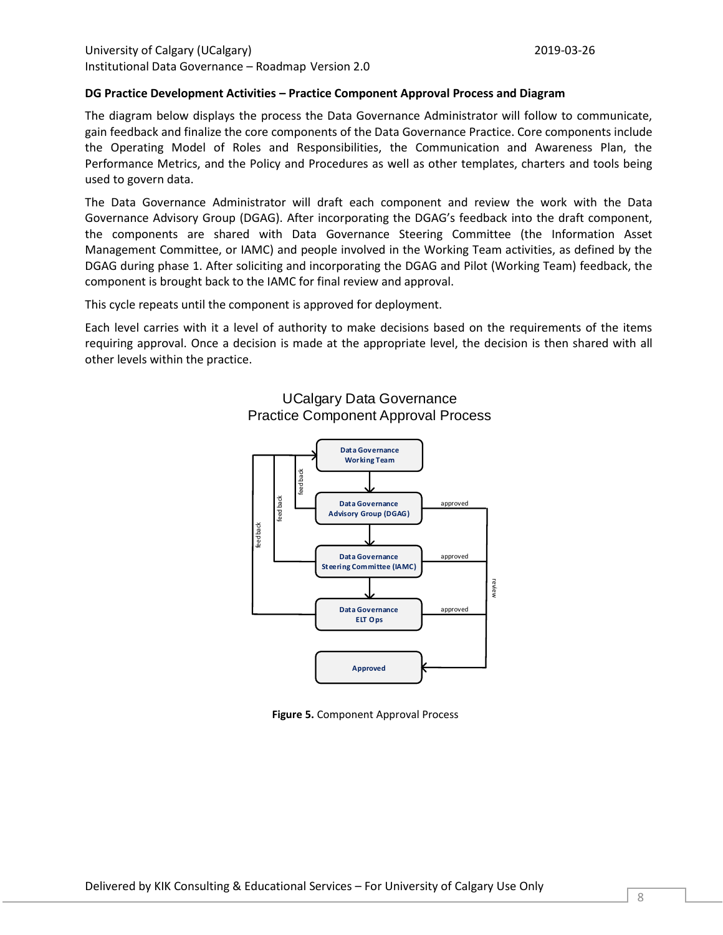### **DG Practice Development Activities – Practice Component Approval Process and Diagram**

The diagram below displays the process the Data Governance Administrator will follow to communicate, gain feedback and finalize the core components of the Data Governance Practice. Core components include the Operating Model of Roles and Responsibilities, the Communication and Awareness Plan, the Performance Metrics, and the Policy and Procedures as well as other templates, charters and tools being used to govern data.

The Data Governance Administrator will draft each component and review the work with the Data Governance Advisory Group (DGAG). After incorporating the DGAG's feedback into the draft component, the components are shared with Data Governance Steering Committee (the Information Asset Management Committee, or IAMC) and people involved in the Working Team activities, as defined by the DGAG during phase 1. After soliciting and incorporating the DGAG and Pilot (Working Team) feedback, the component is brought back to the IAMC for final review and approval.

This cycle repeats until the component is approved for deployment.

Each level carries with it a level of authority to make decisions based on the requirements of the items requiring approval. Once a decision is made at the appropriate level, the decision is then shared with all other levels within the practice.



# UCalgary Data Governance Practice Component Approval Process

**Figure 5.** Component Approval Process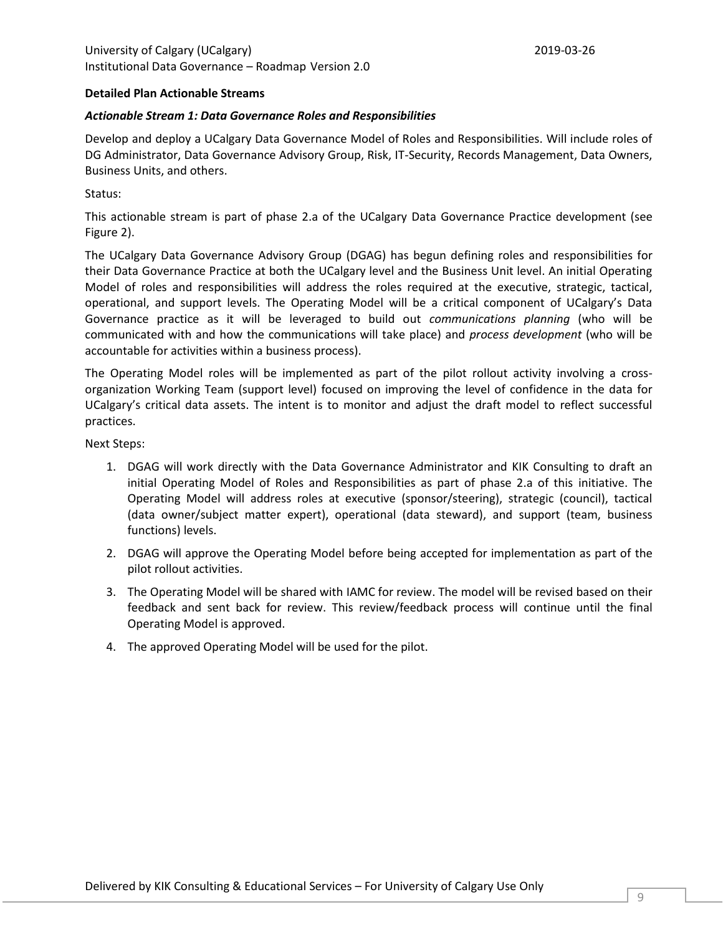## **Detailed Plan Actionable Streams**

## *Actionable Stream 1: Data Governance Roles and Responsibilities*

Develop and deploy a UCalgary Data Governance Model of Roles and Responsibilities. Will include roles of DG Administrator, Data Governance Advisory Group, Risk, IT-Security, Records Management, Data Owners, Business Units, and others.

Status:

This actionable stream is part of phase 2.a of the UCalgary Data Governance Practice development (see Figure 2).

The UCalgary Data Governance Advisory Group (DGAG) has begun defining roles and responsibilities for their Data Governance Practice at both the UCalgary level and the Business Unit level. An initial Operating Model of roles and responsibilities will address the roles required at the executive, strategic, tactical, operational, and support levels. The Operating Model will be a critical component of UCalgary's Data Governance practice as it will be leveraged to build out *communications planning* (who will be communicated with and how the communications will take place) and *process development* (who will be accountable for activities within a business process).

The Operating Model roles will be implemented as part of the pilot rollout activity involving a crossorganization Working Team (support level) focused on improving the level of confidence in the data for UCalgary's critical data assets. The intent is to monitor and adjust the draft model to reflect successful practices.

- 1. DGAG will work directly with the Data Governance Administrator and KIK Consulting to draft an initial Operating Model of Roles and Responsibilities as part of phase 2.a of this initiative. The Operating Model will address roles at executive (sponsor/steering), strategic (council), tactical (data owner/subject matter expert), operational (data steward), and support (team, business functions) levels.
- 2. DGAG will approve the Operating Model before being accepted for implementation as part of the pilot rollout activities.
- 3. The Operating Model will be shared with IAMC for review. The model will be revised based on their feedback and sent back for review. This review/feedback process will continue until the final Operating Model is approved.
- 4. The approved Operating Model will be used for the pilot.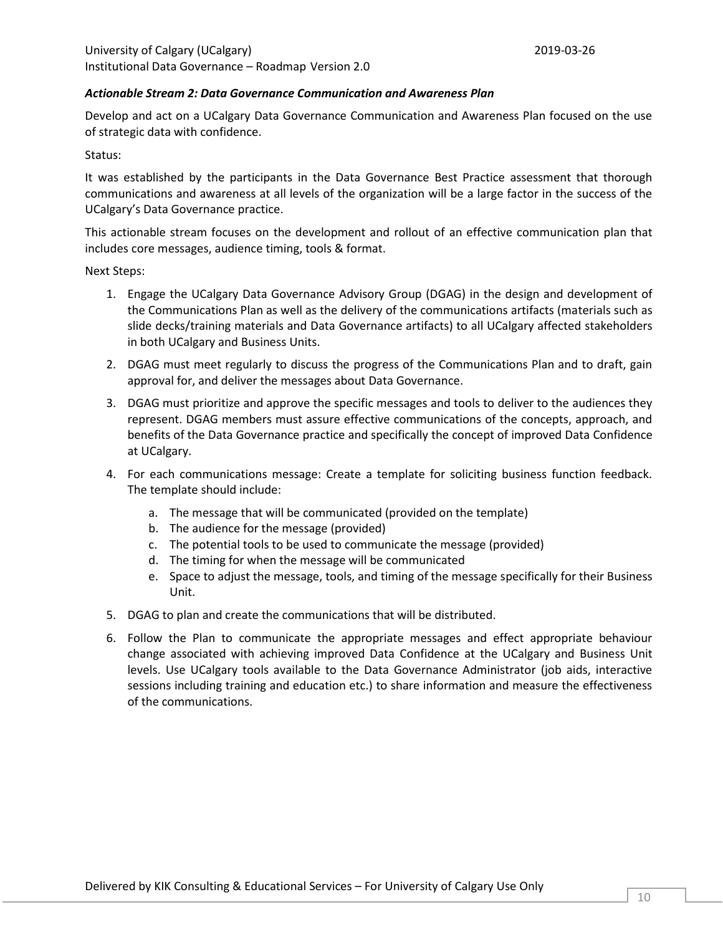## *Actionable Stream 2: Data Governance Communication and Awareness Plan*

Develop and act on a UCalgary Data Governance Communication and Awareness Plan focused on the use of strategic data with confidence.

Status:

It was established by the participants in the Data Governance Best Practice assessment that thorough communications and awareness at all levels of the organization will be a large factor in the success of the UCalgary's Data Governance practice.

This actionable stream focuses on the development and rollout of an effective communication plan that includes core messages, audience timing, tools & format.

- 1. Engage the UCalgary Data Governance Advisory Group (DGAG) in the design and development of the Communications Plan as well as the delivery of the communications artifacts (materials such as slide decks/training materials and Data Governance artifacts) to all UCalgary affected stakeholders in both UCalgary and Business Units.
- 2. DGAG must meet regularly to discuss the progress of the Communications Plan and to draft, gain approval for, and deliver the messages about Data Governance.
- 3. DGAG must prioritize and approve the specific messages and tools to deliver to the audiences they represent. DGAG members must assure effective communications of the concepts, approach, and benefits of the Data Governance practice and specifically the concept of improved Data Confidence at UCalgary.
- 4. For each communications message: Create a template for soliciting business function feedback. The template should include:
	- a. The message that will be communicated (provided on the template)
	- b. The audience for the message (provided)
	- c. The potential tools to be used to communicate the message (provided)
	- d. The timing for when the message will be communicated
	- e. Space to adjust the message, tools, and timing of the message specifically for their Business Unit.
- 5. DGAG to plan and create the communications that will be distributed.
- 6. Follow the Plan to communicate the appropriate messages and effect appropriate behaviour change associated with achieving improved Data Confidence at the UCalgary and Business Unit levels. Use UCalgary tools available to the Data Governance Administrator (job aids, interactive sessions including training and education etc.) to share information and measure the effectiveness of the communications.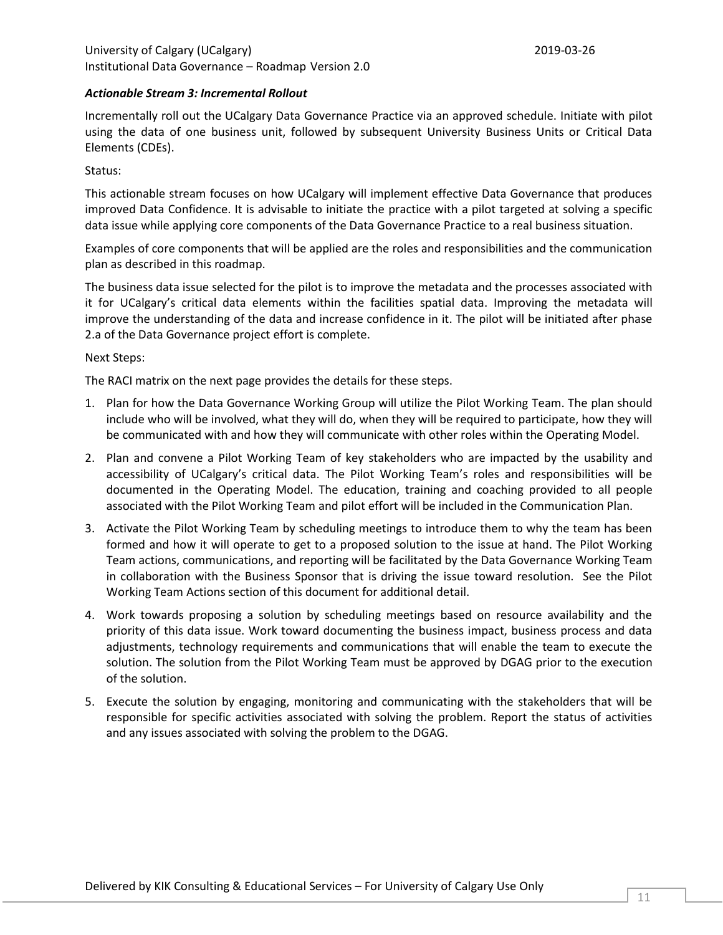## *Actionable Stream 3: Incremental Rollout*

Incrementally roll out the UCalgary Data Governance Practice via an approved schedule. Initiate with pilot using the data of one business unit, followed by subsequent University Business Units or Critical Data Elements (CDEs).

## Status:

This actionable stream focuses on how UCalgary will implement effective Data Governance that produces improved Data Confidence. It is advisable to initiate the practice with a pilot targeted at solving a specific data issue while applying core components of the Data Governance Practice to a real business situation.

Examples of core components that will be applied are the roles and responsibilities and the communication plan as described in this roadmap.

The business data issue selected for the pilot is to improve the metadata and the processes associated with it for UCalgary's critical data elements within the facilities spatial data. Improving the metadata will improve the understanding of the data and increase confidence in it. The pilot will be initiated after phase 2.a of the Data Governance project effort is complete.

## Next Steps:

The RACI matrix on the next page provides the details for these steps.

- 1. Plan for how the Data Governance Working Group will utilize the Pilot Working Team. The plan should include who will be involved, what they will do, when they will be required to participate, how they will be communicated with and how they will communicate with other roles within the Operating Model.
- 2. Plan and convene a Pilot Working Team of key stakeholders who are impacted by the usability and accessibility of UCalgary's critical data. The Pilot Working Team's roles and responsibilities will be documented in the Operating Model. The education, training and coaching provided to all people associated with the Pilot Working Team and pilot effort will be included in the Communication Plan.
- 3. Activate the Pilot Working Team by scheduling meetings to introduce them to why the team has been formed and how it will operate to get to a proposed solution to the issue at hand. The Pilot Working Team actions, communications, and reporting will be facilitated by the Data Governance Working Team in collaboration with the Business Sponsor that is driving the issue toward resolution. See the Pilot Working Team Actions section of this document for additional detail.
- 4. Work towards proposing a solution by scheduling meetings based on resource availability and the priority of this data issue. Work toward documenting the business impact, business process and data adjustments, technology requirements and communications that will enable the team to execute the solution. The solution from the Pilot Working Team must be approved by DGAG prior to the execution of the solution.
- 5. Execute the solution by engaging, monitoring and communicating with the stakeholders that will be responsible for specific activities associated with solving the problem. Report the status of activities and any issues associated with solving the problem to the DGAG.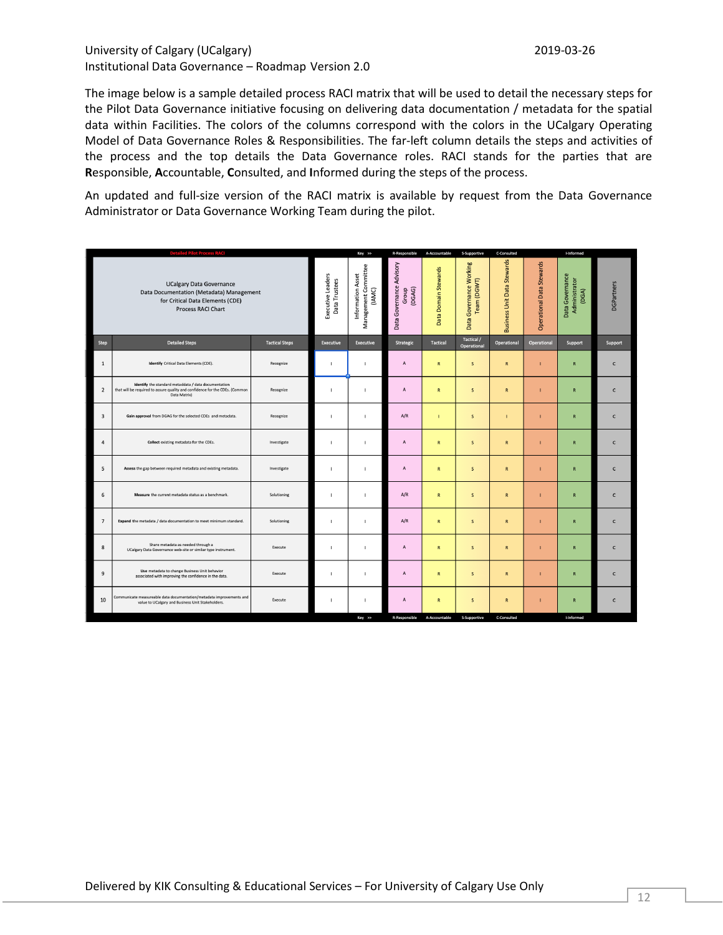The image below is a sample detailed process RACI matrix that will be used to detail the necessary steps for the Pilot Data Governance initiative focusing on delivering data documentation / metadata for the spatial data within Facilities. The colors of the columns correspond with the colors in the UCalgary Operating Model of Data Governance Roles & Responsibilities. The far-left column details the steps and activities of the process and the top details the Data Governance roles. RACI stands for the parties that are **R**esponsible, **A**ccountable, **C**onsulted, and **I**nformed during the steps of the process.

An updated and full-size version of the RACI matrix is available by request from the Data Governance Administrator or Data Governance Working Team during the pilot.

| <b>Detailed Pilot Process RACI</b>                                                                                                           |                                                                                                                                                      |                                    | Key >>                                              | R-Responsible                                  | A-Accountable        | S-Supportive                              | C-Consulted                        |                                  | I-Informed                                |                   |              |
|----------------------------------------------------------------------------------------------------------------------------------------------|------------------------------------------------------------------------------------------------------------------------------------------------------|------------------------------------|-----------------------------------------------------|------------------------------------------------|----------------------|-------------------------------------------|------------------------------------|----------------------------------|-------------------------------------------|-------------------|--------------|
| <b>UCalgary Data Governance</b><br>Data Documentation (Metadata) Management<br>for Critical Data Elements (CDE)<br><b>Process RACI Chart</b> |                                                                                                                                                      | Executive Leaders<br>Data Trustees | Management Committee<br>Information Asset<br>(IAMC) | Governance Advisory<br>(DGAG)<br>Group<br>Data | Data Domain Stewards | Governance Working<br>Team (DGWT)<br>Data | <b>Business Unit Data Stewards</b> | <b>Operational Data Stewards</b> | Data Governance<br>Administrator<br>(DGA) | <b>DGPartners</b> |              |
| Step                                                                                                                                         | <b>Detailed Steps</b>                                                                                                                                | <b>Tactical Steps</b>              | <b>Executive</b>                                    | <b>Executive</b>                               | Strategic            | <b>Tactical</b>                           | Tactical /<br>Operational          | Operational                      | Operational                               | Support           | Support      |
| $\mathbf{1}$                                                                                                                                 | Identify Critical Data Elements (CDE).                                                                                                               | Recognize                          | л                                                   | п                                              | A                    | ${\sf R}$                                 | $\sf s$                            | ${\bf R}$                        |                                           | $\mathbf R$       | c            |
| $\overline{2}$                                                                                                                               | Identify the standard metaddata / data documentation<br>that will be required to assure quality and confidence for the CDEs. (Common<br>Data Matrix) | Recognize                          | J.                                                  | I                                              | A                    | ${\sf R}$                                 | $\mathsf S$                        | ${\sf R}$                        |                                           | ${\sf R}$         | $\mathsf{C}$ |
| $\overline{\mathbf{3}}$                                                                                                                      | Gain approval from DGAG for the selected CDEs and metadata.                                                                                          | Recognize                          | л                                                   | п                                              | A/R                  |                                           | $\sf s$                            |                                  |                                           | ${\sf R}$         | $\mathsf{C}$ |
| $\overline{4}$                                                                                                                               | Collect existing metadata for the CDEs.                                                                                                              | Investigate                        | $\blacksquare$                                      | $\mathbf{I}$                                   | A                    | ${\bf R}$                                 | $\sf S$                            | ${\bf R}$                        | п                                         | ${\sf R}$         | $\mathsf{C}$ |
| 5                                                                                                                                            | Assess the gap between required metadata and existing metadata.                                                                                      | Investigate                        | J.                                                  | f,                                             | A                    | $\mathsf{R}$                              | $\mathsf{s}$                       | $\mathsf{R}$                     |                                           | ${\sf R}$         | c            |
| 6                                                                                                                                            | Measure the current metadata status as a benchmark.                                                                                                  | Solutioning                        | J.                                                  | I                                              | A/R                  | $\mathsf{R}$                              | s                                  | $\mathsf{R}$                     |                                           | ${\sf R}$         | $\mathsf{C}$ |
| $\overline{7}$                                                                                                                               | Expand the metadata / data documentation to meet minimum standard.                                                                                   | Solutioning                        | J.                                                  | ı.                                             | A/R                  | $\mathsf{R}$                              | $\mathsf{s}$                       | $\mathsf{R}$                     |                                           | ${\sf R}$         | $\mathsf{C}$ |
| 8                                                                                                                                            | Share metadata as needed through a<br>UCalgary Data Governance web-site or similar type instrument.                                                  | Execute                            | $\blacksquare$                                      | $\mathbf{I}$                                   | A                    | ${\sf R}$                                 | $\sf s$                            | $\mathbf R$                      |                                           | ${\sf R}$         | c            |
| 9                                                                                                                                            | Use metadata to change Business Unit behavior<br>associated with improving the confidence in the data.                                               | Execute                            | J.                                                  | I                                              | Α                    | $\mathsf{R}$                              | s                                  | $\mathsf{R}$                     |                                           | ${\sf R}$         | $\mathsf{C}$ |
| 10                                                                                                                                           | Communicate measureable data documentation/metadata improvements and<br>value to UCalgary and Business Unit Stakeholders.                            | Execute                            | $\mathbf{I}$                                        | п                                              | A                    | ${\sf R}$                                 | $\mathsf S$                        | $\mathsf{R}$                     | п                                         | ${\sf R}$         | c            |
|                                                                                                                                              |                                                                                                                                                      |                                    |                                                     | Key >>                                         | <b>R-Responsible</b> | A-Accountable                             | S-Supportive                       | C-Consulted                      |                                           | I-Informed        |              |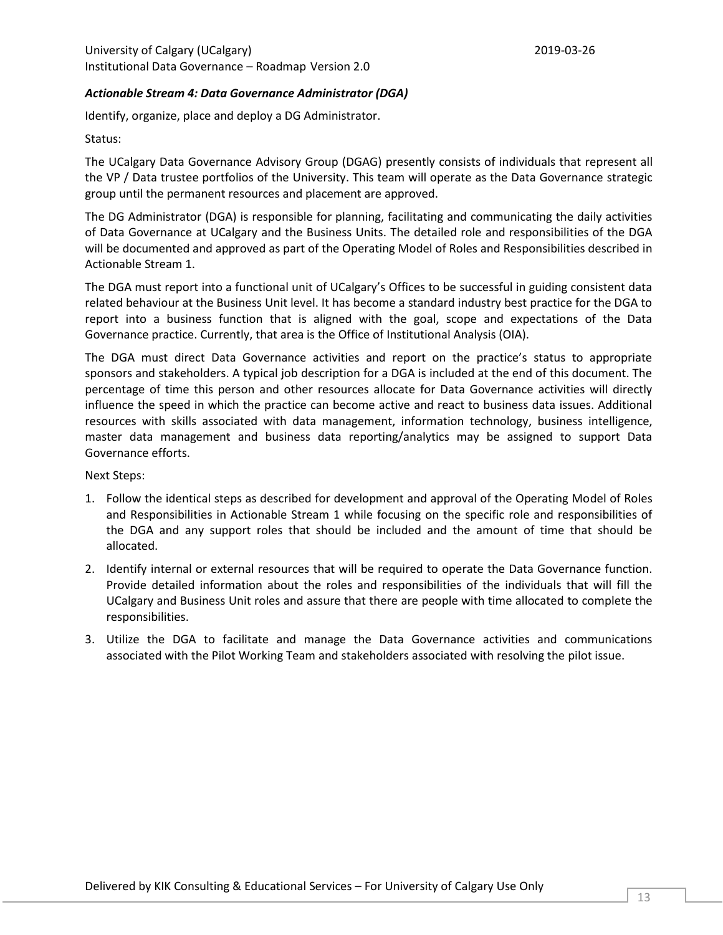## <span id="page-12-0"></span>*Actionable Stream 4: Data Governance Administrator (DGA)*

Identify, organize, place and deploy a DG Administrator.

Status:

The UCalgary Data Governance Advisory Group (DGAG) presently consists of individuals that represent all the VP / Data trustee portfolios of the University. This team will operate as the Data Governance strategic group until the permanent resources and placement are approved.

The DG Administrator (DGA) is responsible for planning, facilitating and communicating the daily activities of Data Governance at UCalgary and the Business Units. The detailed role and responsibilities of the DGA will be documented and approved as part of the Operating Model of Roles and Responsibilities described in Actionable Stream 1.

The DGA must report into a functional unit of UCalgary's Offices to be successful in guiding consistent data related behaviour at the Business Unit level. It has become a standard industry best practice for the DGA to report into a business function that is aligned with the goal, scope and expectations of the Data Governance practice. Currently, that area is the Office of Institutional Analysis (OIA).

The DGA must direct Data Governance activities and report on the practice's status to appropriate sponsors and stakeholders. A typical job description for a DGA is included at the end of this document. The percentage of time this person and other resources allocate for Data Governance activities will directly influence the speed in which the practice can become active and react to business data issues. Additional resources with skills associated with data management, information technology, business intelligence, master data management and business data reporting/analytics may be assigned to support Data Governance efforts.

- 1. Follow the identical steps as described for development and approval of the Operating Model of Roles and Responsibilities in Actionable Stream 1 while focusing on the specific role and responsibilities of the DGA and any support roles that should be included and the amount of time that should be allocated.
- 2. Identify internal or external resources that will be required to operate the Data Governance function. Provide detailed information about the roles and responsibilities of the individuals that will fill the UCalgary and Business Unit roles and assure that there are people with time allocated to complete the responsibilities.
- 3. Utilize the DGA to facilitate and manage the Data Governance activities and communications associated with the Pilot Working Team and stakeholders associated with resolving the pilot issue.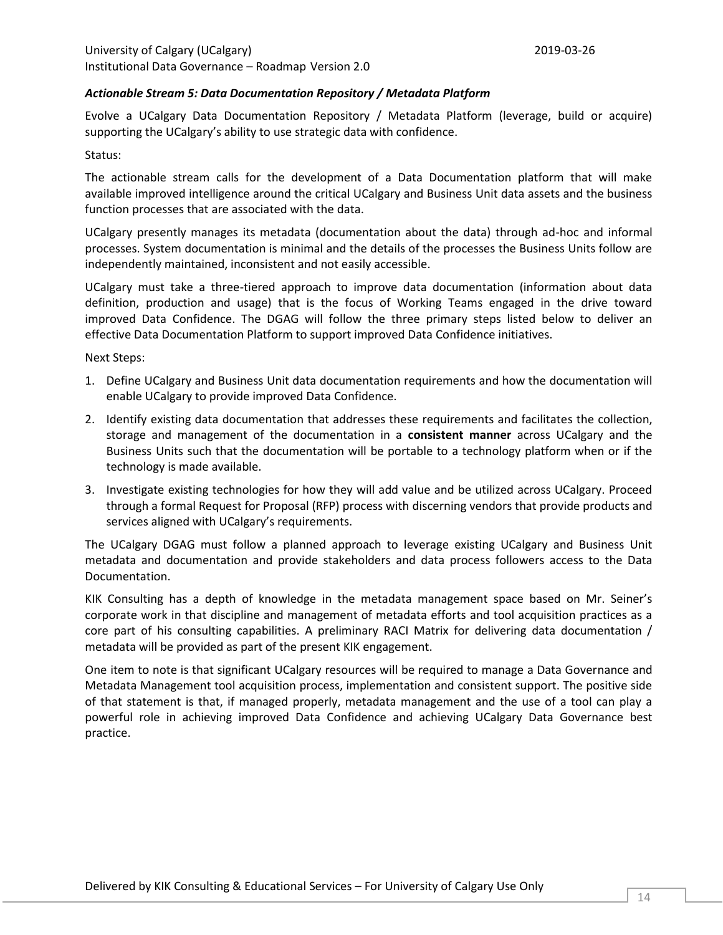## <span id="page-13-0"></span>*Actionable Stream 5: Data Documentation Repository / Metadata Platform*

Evolve a UCalgary Data Documentation Repository / Metadata Platform (leverage, build or acquire) supporting the UCalgary's ability to use strategic data with confidence.

## Status:

The actionable stream calls for the development of a Data Documentation platform that will make available improved intelligence around the critical UCalgary and Business Unit data assets and the business function processes that are associated with the data.

UCalgary presently manages its metadata (documentation about the data) through ad-hoc and informal processes. System documentation is minimal and the details of the processes the Business Units follow are independently maintained, inconsistent and not easily accessible.

UCalgary must take a three-tiered approach to improve data documentation (information about data definition, production and usage) that is the focus of Working Teams engaged in the drive toward improved Data Confidence. The DGAG will follow the three primary steps listed below to deliver an effective Data Documentation Platform to support improved Data Confidence initiatives.

#### Next Steps:

- 1. Define UCalgary and Business Unit data documentation requirements and how the documentation will enable UCalgary to provide improved Data Confidence.
- 2. Identify existing data documentation that addresses these requirements and facilitates the collection, storage and management of the documentation in a **consistent manner** across UCalgary and the Business Units such that the documentation will be portable to a technology platform when or if the technology is made available.
- 3. Investigate existing technologies for how they will add value and be utilized across UCalgary. Proceed through a formal Request for Proposal (RFP) process with discerning vendors that provide products and services aligned with UCalgary's requirements.

The UCalgary DGAG must follow a planned approach to leverage existing UCalgary and Business Unit metadata and documentation and provide stakeholders and data process followers access to the Data Documentation.

KIK Consulting has a depth of knowledge in the metadata management space based on Mr. Seiner's corporate work in that discipline and management of metadata efforts and tool acquisition practices as a core part of his consulting capabilities. A preliminary RACI Matrix for delivering data documentation / metadata will be provided as part of the present KIK engagement.

One item to note is that significant UCalgary resources will be required to manage a Data Governance and Metadata Management tool acquisition process, implementation and consistent support. The positive side of that statement is that, if managed properly, metadata management and the use of a tool can play a powerful role in achieving improved Data Confidence and achieving UCalgary Data Governance best practice.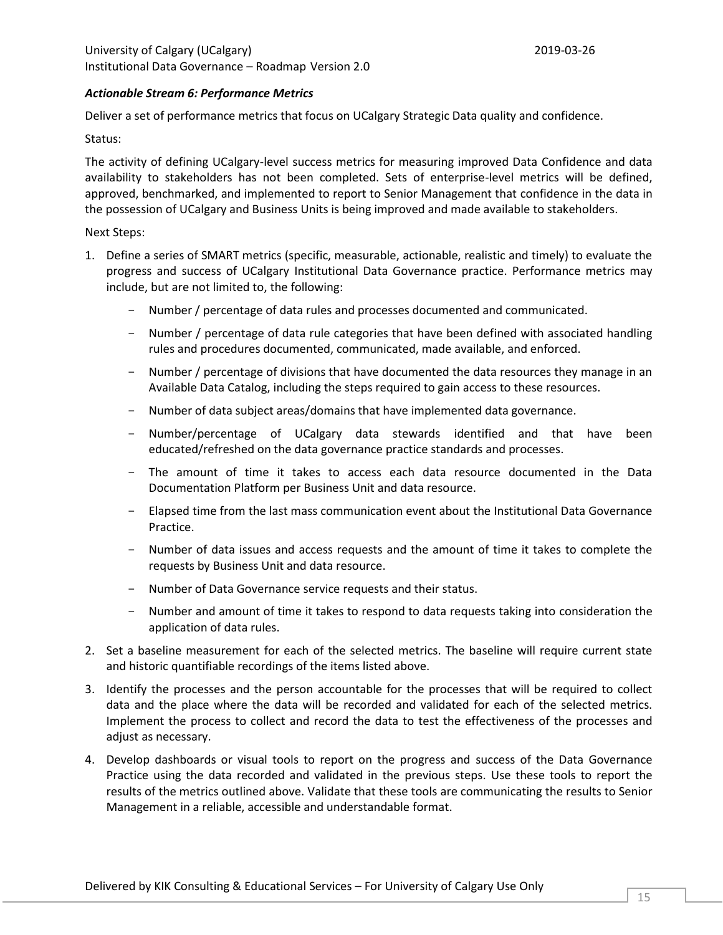## *Actionable Stream 6: Performance Metrics*

Deliver a set of performance metrics that focus on UCalgary Strategic Data quality and confidence.

### Status:

The activity of defining UCalgary-level success metrics for measuring improved Data Confidence and data availability to stakeholders has not been completed. Sets of enterprise-level metrics will be defined, approved, benchmarked, and implemented to report to Senior Management that confidence in the data in the possession of UCalgary and Business Units is being improved and made available to stakeholders.

- 1. Define a series of SMART metrics (specific, measurable, actionable, realistic and timely) to evaluate the progress and success of UCalgary Institutional Data Governance practice. Performance metrics may include, but are not limited to, the following:
	- Number / percentage of data rules and processes documented and communicated.
	- Number / percentage of data rule categories that have been defined with associated handling rules and procedures documented, communicated, made available, and enforced.
	- Number / percentage of divisions that have documented the data resources they manage in an Available Data Catalog, including the steps required to gain access to these resources.
	- Number of data subject areas/domains that have implemented data governance.
	- Number/percentage of UCalgary data stewards identified and that have been educated/refreshed on the data governance practice standards and processes.
	- The amount of time it takes to access each data resource documented in the Data Documentation Platform per Business Unit and data resource.
	- Elapsed time from the last mass communication event about the Institutional Data Governance Practice.
	- Number of data issues and access requests and the amount of time it takes to complete the requests by Business Unit and data resource.
	- Number of Data Governance service requests and their status.
	- Number and amount of time it takes to respond to data requests taking into consideration the application of data rules.
- 2. Set a baseline measurement for each of the selected metrics. The baseline will require current state and historic quantifiable recordings of the items listed above.
- 3. Identify the processes and the person accountable for the processes that will be required to collect data and the place where the data will be recorded and validated for each of the selected metrics. Implement the process to collect and record the data to test the effectiveness of the processes and adjust as necessary.
- 4. Develop dashboards or visual tools to report on the progress and success of the Data Governance Practice using the data recorded and validated in the previous steps. Use these tools to report the results of the metrics outlined above. Validate that these tools are communicating the results to Senior Management in a reliable, accessible and understandable format.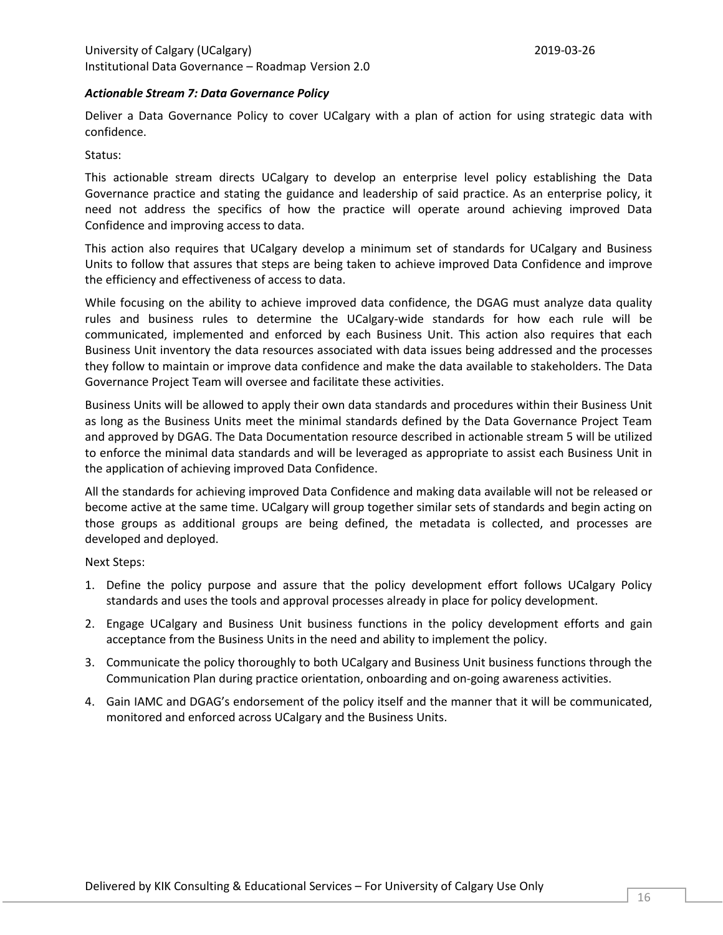## *Actionable Stream 7: Data Governance Policy*

Deliver a Data Governance Policy to cover UCalgary with a plan of action for using strategic data with confidence.

Status:

This actionable stream directs UCalgary to develop an enterprise level policy establishing the Data Governance practice and stating the guidance and leadership of said practice. As an enterprise policy, it need not address the specifics of how the practice will operate around achieving improved Data Confidence and improving access to data.

This action also requires that UCalgary develop a minimum set of standards for UCalgary and Business Units to follow that assures that steps are being taken to achieve improved Data Confidence and improve the efficiency and effectiveness of access to data.

While focusing on the ability to achieve improved data confidence, the DGAG must analyze data quality rules and business rules to determine the UCalgary-wide standards for how each rule will be communicated, implemented and enforced by each Business Unit. This action also requires that each Business Unit inventory the data resources associated with data issues being addressed and the processes they follow to maintain or improve data confidence and make the data available to stakeholders. The Data Governance Project Team will oversee and facilitate these activities.

Business Units will be allowed to apply their own data standards and procedures within their Business Unit as long as the Business Units meet the minimal standards defined by the Data Governance Project Team and approved by DGAG. The Data Documentation resource described in actionable stream 5 will be utilized to enforce the minimal data standards and will be leveraged as appropriate to assist each Business Unit in the application of achieving improved Data Confidence.

All the standards for achieving improved Data Confidence and making data available will not be released or become active at the same time. UCalgary will group together similar sets of standards and begin acting on those groups as additional groups are being defined, the metadata is collected, and processes are developed and deployed.

- 1. Define the policy purpose and assure that the policy development effort follows UCalgary Policy standards and uses the tools and approval processes already in place for policy development.
- 2. Engage UCalgary and Business Unit business functions in the policy development efforts and gain acceptance from the Business Units in the need and ability to implement the policy.
- 3. Communicate the policy thoroughly to both UCalgary and Business Unit business functions through the Communication Plan during practice orientation, onboarding and on-going awareness activities.
- 4. Gain IAMC and DGAG's endorsement of the policy itself and the manner that it will be communicated, monitored and enforced across UCalgary and the Business Units.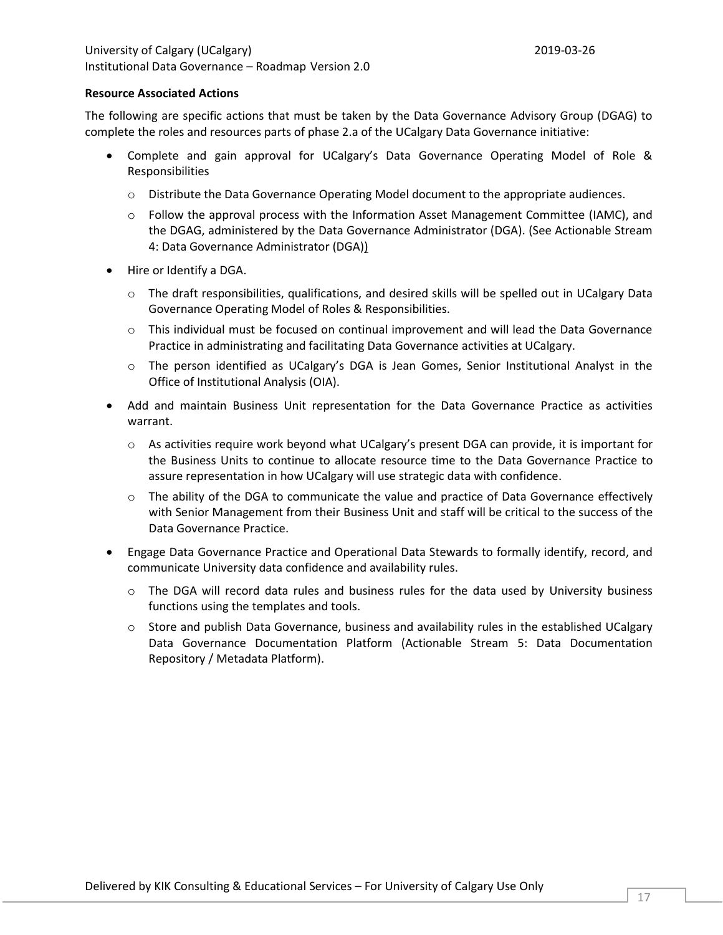#### **Resource Associated Actions**

The following are specific actions that must be taken by the Data Governance Advisory Group (DGAG) to complete the roles and resources parts of phase 2.a of the UCalgary Data Governance initiative:

- Complete and gain approval for UCalgary's Data Governance Operating Model of Role & Responsibilities
	- o Distribute the Data Governance Operating Model document to the appropriate audiences.
	- $\circ$  Follow the approval process with the Information Asset Management Committee (IAMC), and the DGAG, administered by the Data Governance Administrator (DGA). (See [Actionable Stream](#page-12-0)  [4: Data Governance Administrator \(DGA\)\)](#page-12-0)
- Hire or Identify a DGA.
	- $\circ$  The draft responsibilities, qualifications, and desired skills will be spelled out in UCalgary Data Governance Operating Model of Roles & Responsibilities.
	- $\circ$  This individual must be focused on continual improvement and will lead the Data Governance Practice in administrating and facilitating Data Governance activities at UCalgary.
	- o The person identified as UCalgary's DGA is Jean Gomes, Senior Institutional Analyst in the Office of Institutional Analysis (OIA).
- Add and maintain Business Unit representation for the Data Governance Practice as activities warrant.
	- $\circ$  As activities require work beyond what UCalgary's present DGA can provide, it is important for the Business Units to continue to allocate resource time to the Data Governance Practice to assure representation in how UCalgary will use strategic data with confidence.
	- $\circ$  The ability of the DGA to communicate the value and practice of Data Governance effectively with Senior Management from their Business Unit and staff will be critical to the success of the Data Governance Practice.
- Engage Data Governance Practice and Operational Data Stewards to formally identify, record, and communicate University data confidence and availability rules.
	- o The DGA will record data rules and business rules for the data used by University business functions using the templates and tools.
	- o Store and publish Data Governance, business and availability rules in the established UCalgary Data Governance Documentation Platform [\(Actionable Stream 5: Data Documentation](#page-13-0)  [Repository / Metadata Platform\)](#page-13-0).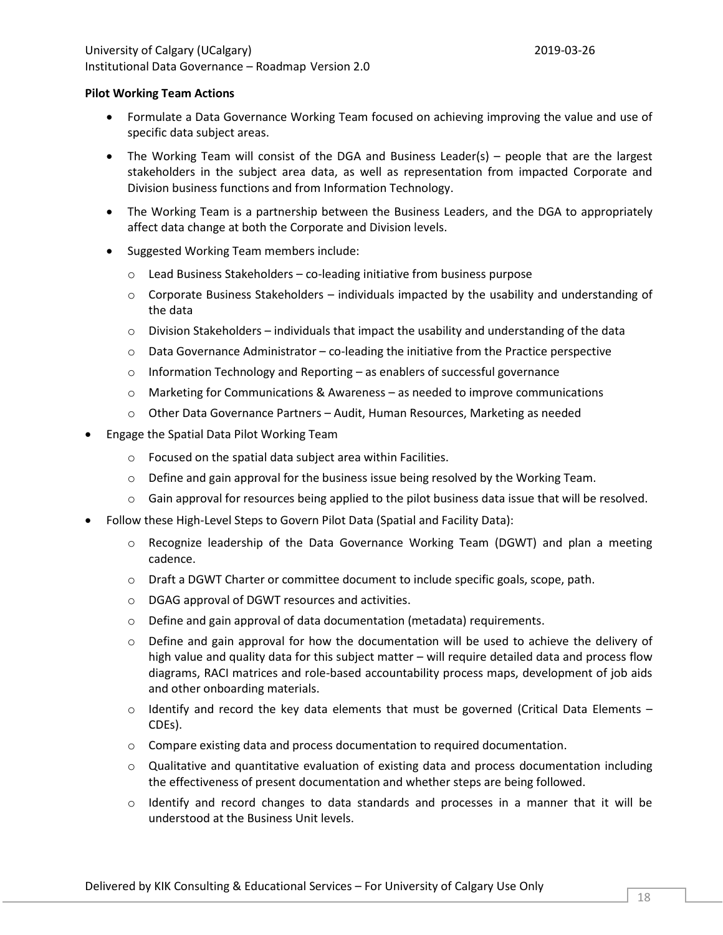## **Pilot Working Team Actions**

- Formulate a Data Governance Working Team focused on achieving improving the value and use of specific data subject areas.
- The Working Team will consist of the DGA and Business Leader(s) people that are the largest stakeholders in the subject area data, as well as representation from impacted Corporate and Division business functions and from Information Technology.
- The Working Team is a partnership between the Business Leaders, and the DGA to appropriately affect data change at both the Corporate and Division levels.
- Suggested Working Team members include:
	- o Lead Business Stakeholders co-leading initiative from business purpose
	- $\circ$  Corporate Business Stakeholders individuals impacted by the usability and understanding of the data
	- $\circ$  Division Stakeholders individuals that impact the usability and understanding of the data
	- $\circ$  Data Governance Administrator co-leading the initiative from the Practice perspective
	- $\circ$  Information Technology and Reporting as enablers of successful governance
	- o Marketing for Communications & Awareness as needed to improve communications
	- o Other Data Governance Partners Audit, Human Resources, Marketing as needed
- Engage the Spatial Data Pilot Working Team
	- o Focused on the spatial data subject area within Facilities.
	- $\circ$  Define and gain approval for the business issue being resolved by the Working Team.
	- $\circ$  Gain approval for resources being applied to the pilot business data issue that will be resolved.
- Follow these High-Level Steps to Govern Pilot Data (Spatial and Facility Data):
	- o Recognize leadership of the Data Governance Working Team (DGWT) and plan a meeting cadence.
	- o Draft a DGWT Charter or committee document to include specific goals, scope, path.
	- o DGAG approval of DGWT resources and activities.
	- o Define and gain approval of data documentation (metadata) requirements.
	- $\circ$  Define and gain approval for how the documentation will be used to achieve the delivery of high value and quality data for this subject matter – will require detailed data and process flow diagrams, RACI matrices and role-based accountability process maps, development of job aids and other onboarding materials.
	- $\circ$  Identify and record the key data elements that must be governed (Critical Data Elements CDEs).
	- o Compare existing data and process documentation to required documentation.
	- $\circ$  Qualitative and quantitative evaluation of existing data and process documentation including the effectiveness of present documentation and whether steps are being followed.
	- o Identify and record changes to data standards and processes in a manner that it will be understood at the Business Unit levels.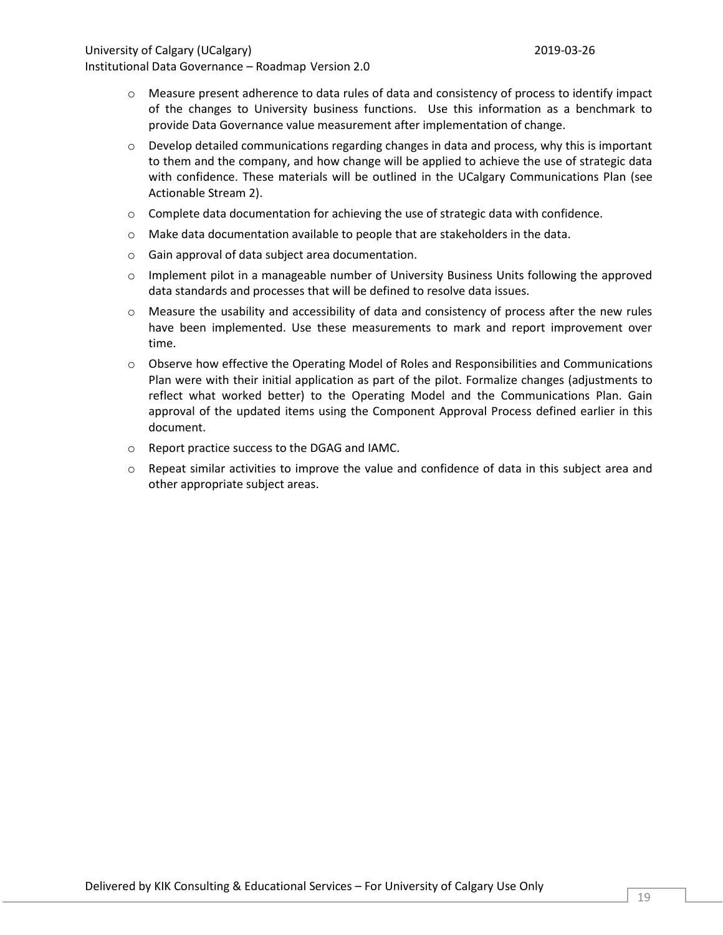## University of Calgary (UCalgary) 2019-03-26

- $\circ$  Measure present adherence to data rules of data and consistency of process to identify impact of the changes to University business functions. Use this information as a benchmark to provide Data Governance value measurement after implementation of change.
- $\circ$  Develop detailed communications regarding changes in data and process, why this is important to them and the company, and how change will be applied to achieve the use of strategic data with confidence. These materials will be outlined in the UCalgary Communications Plan (see Actionable Stream 2).
- $\circ$  Complete data documentation for achieving the use of strategic data with confidence.
- o Make data documentation available to people that are stakeholders in the data.
- o Gain approval of data subject area documentation.
- $\circ$  Implement pilot in a manageable number of University Business Units following the approved data standards and processes that will be defined to resolve data issues.
- o Measure the usability and accessibility of data and consistency of process after the new rules have been implemented. Use these measurements to mark and report improvement over time.
- o Observe how effective the Operating Model of Roles and Responsibilities and Communications Plan were with their initial application as part of the pilot. Formalize changes (adjustments to reflect what worked better) to the Operating Model and the Communications Plan. Gain approval of the updated items using the Component Approval Process defined earlier in this document.
- o Report practice success to the DGAG and IAMC.
- $\circ$  Repeat similar activities to improve the value and confidence of data in this subject area and other appropriate subject areas.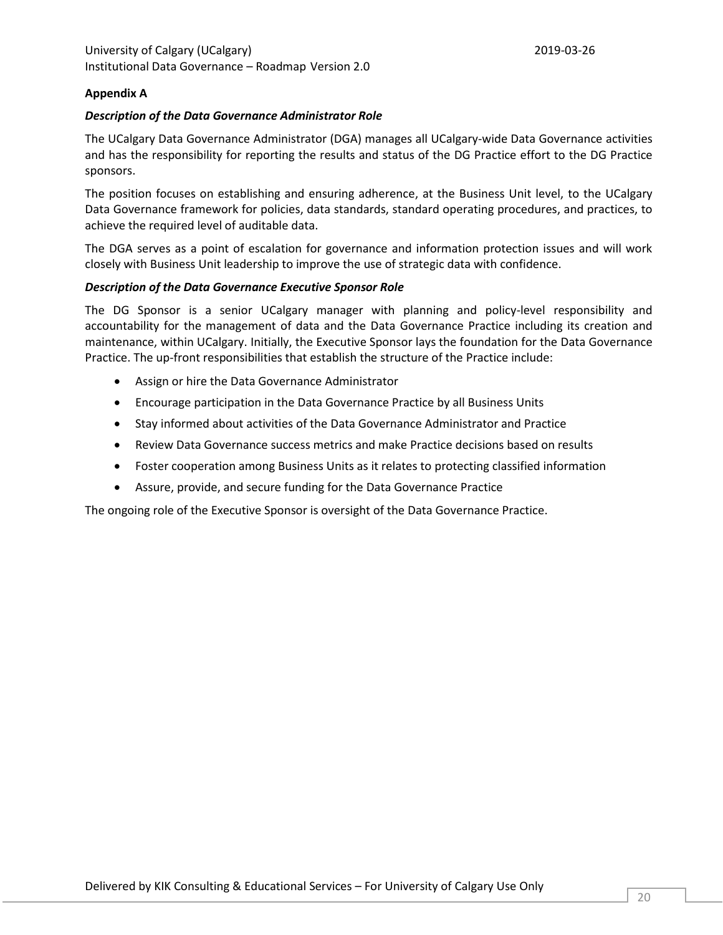## **Appendix A**

#### *Description of the Data Governance Administrator Role*

The UCalgary Data Governance Administrator (DGA) manages all UCalgary-wide Data Governance activities and has the responsibility for reporting the results and status of the DG Practice effort to the DG Practice sponsors.

The position focuses on establishing and ensuring adherence, at the Business Unit level, to the UCalgary Data Governance framework for policies, data standards, standard operating procedures, and practices, to achieve the required level of auditable data.

The DGA serves as a point of escalation for governance and information protection issues and will work closely with Business Unit leadership to improve the use of strategic data with confidence.

#### *Description of the Data Governance Executive Sponsor Role*

The DG Sponsor is a senior UCalgary manager with planning and policy-level responsibility and accountability for the management of data and the Data Governance Practice including its creation and maintenance, within UCalgary. Initially, the Executive Sponsor lays the foundation for the Data Governance Practice. The up-front responsibilities that establish the structure of the Practice include:

- Assign or hire the Data Governance Administrator
- Encourage participation in the Data Governance Practice by all Business Units
- Stay informed about activities of the Data Governance Administrator and Practice
- Review Data Governance success metrics and make Practice decisions based on results
- Foster cooperation among Business Units as it relates to protecting classified information
- Assure, provide, and secure funding for the Data Governance Practice

The ongoing role of the Executive Sponsor is oversight of the Data Governance Practice.